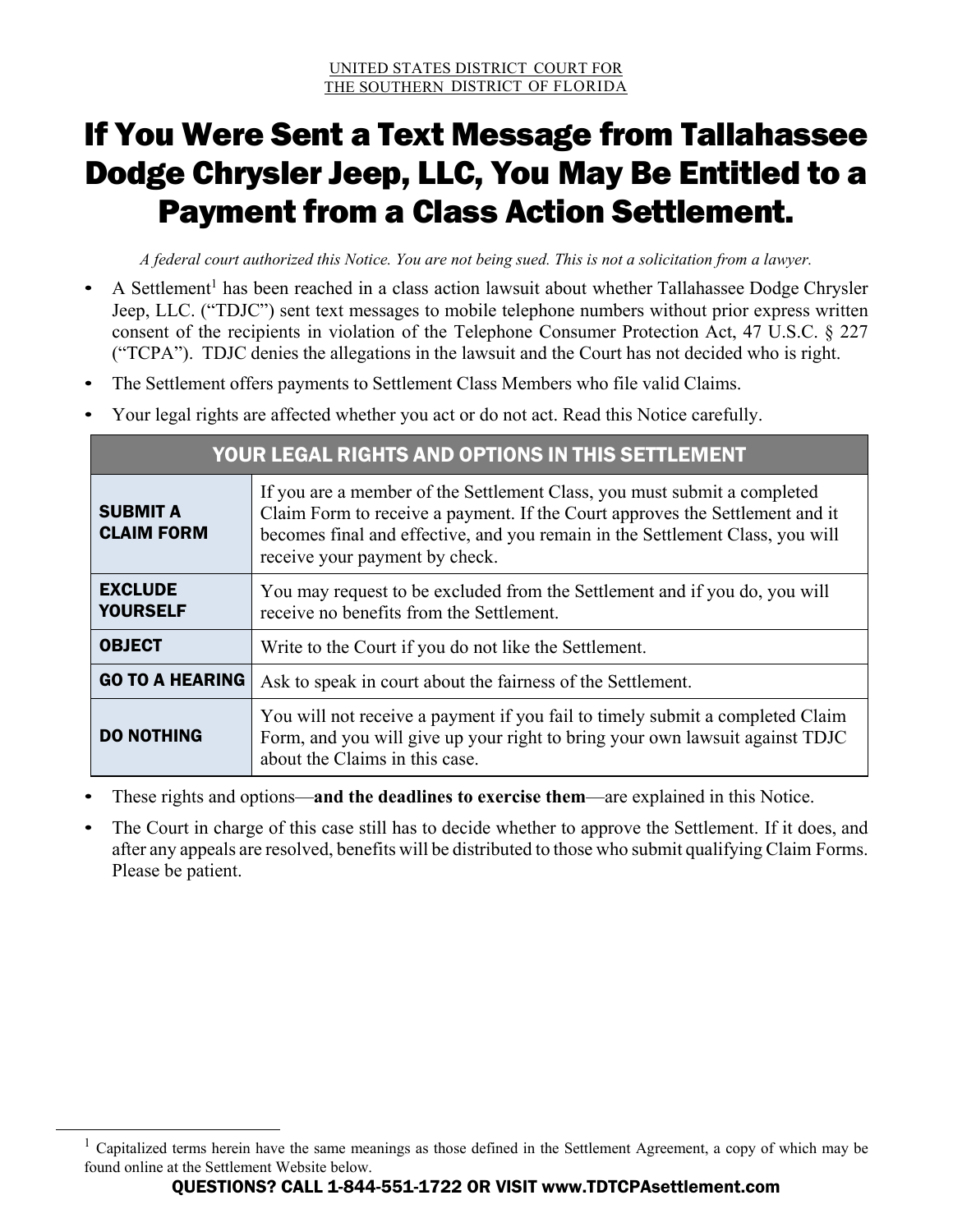# If You Were Sent a Text Message from Tallahassee Dodge Chrysler Jeep, LLC, You May Be Entitled to a Payment from a Class Action Settlement.

*A federal court authorized this Notice. You are not being sued. This is not a solicitation from a lawyer.*

- A Settlement<sup>1</sup> has been reached in a class action lawsuit about whether Tallahassee Dodge Chrysler Jeep, LLC. ("TDJC") sent text messages to mobile telephone numbers without prior express written consent of the recipients in violation of the Telephone Consumer Protection Act, 47 U.S.C. § 227 ("TCPA"). TDJC denies the allegations in the lawsuit and the Court has not decided who is right.
- The Settlement offers payments to Settlement Class Members who file valid Claims.
- Your legal rights are affected whether you act or do not act. Read this Notice carefully.

| YOUR LEGAL RIGHTS AND OPTIONS IN THIS SETTLEMENT                                                                                                                                                                     |                                                                                                                                                                                                                                                                             |  |  |
|----------------------------------------------------------------------------------------------------------------------------------------------------------------------------------------------------------------------|-----------------------------------------------------------------------------------------------------------------------------------------------------------------------------------------------------------------------------------------------------------------------------|--|--|
| <b>SUBMIT A</b><br><b>CLAIM FORM</b>                                                                                                                                                                                 | If you are a member of the Settlement Class, you must submit a completed<br>Claim Form to receive a payment. If the Court approves the Settlement and it<br>becomes final and effective, and you remain in the Settlement Class, you will<br>receive your payment by check. |  |  |
| <b>EXCLUDE</b><br><b>YOURSELF</b>                                                                                                                                                                                    | You may request to be excluded from the Settlement and if you do, you will<br>receive no benefits from the Settlement.                                                                                                                                                      |  |  |
| <b>OBJECT</b>                                                                                                                                                                                                        | Write to the Court if you do not like the Settlement.                                                                                                                                                                                                                       |  |  |
| <b>GO TO A HEARING</b>                                                                                                                                                                                               | Ask to speak in court about the fairness of the Settlement.                                                                                                                                                                                                                 |  |  |
| You will not receive a payment if you fail to timely submit a completed Claim<br><b>DO NOTHING</b><br>Form, and you will give up your right to bring your own lawsuit against TDJC<br>about the Claims in this case. |                                                                                                                                                                                                                                                                             |  |  |

- These rights and options—**and the deadlines to exercise them**—are explained in this Notice.
- The Court in charge of this case still has to decide whether to approve the Settlement. If it does, and after any appeals are resolved, benefits will be distributed to those who submit qualifying Claim Forms. Please be patient.

<sup>&</sup>lt;sup>1</sup> Capitalized terms herein have the same meanings as those defined in the Settlement Agreement, a copy of which may be found online at the Settlement Website below.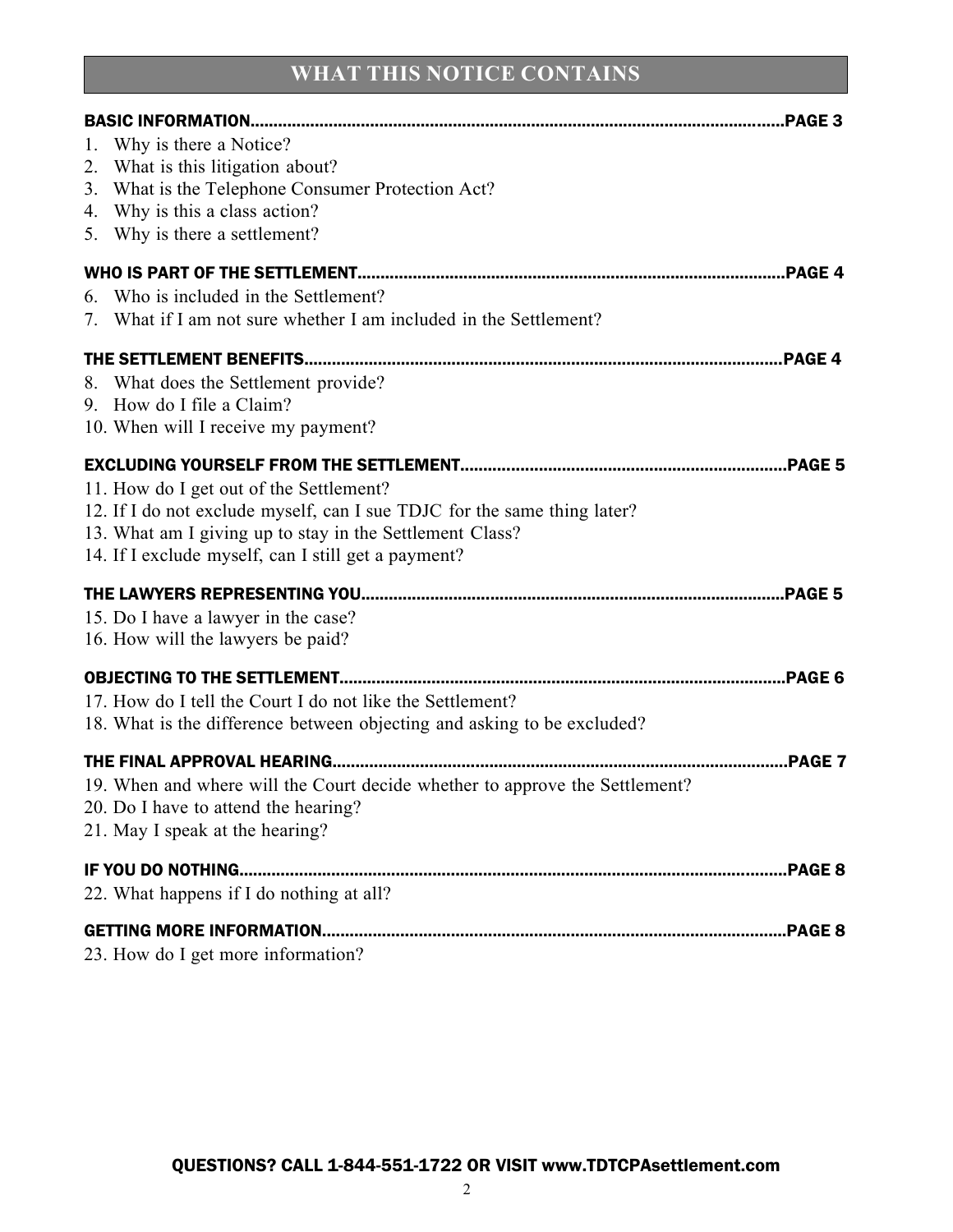# **WHAT THIS NOTICE CONTAINS**

| 1. | Why is there a Notice?                                                      |
|----|-----------------------------------------------------------------------------|
|    | 2. What is this litigation about?                                           |
|    | 3. What is the Telephone Consumer Protection Act?                           |
|    | 4. Why is this a class action?                                              |
|    | 5. Why is there a settlement?                                               |
|    |                                                                             |
|    | 6. Who is included in the Settlement?                                       |
|    | 7. What if I am not sure whether I am included in the Settlement?           |
|    |                                                                             |
|    | 8. What does the Settlement provide?                                        |
|    | 9. How do I file a Claim?                                                   |
|    | 10. When will I receive my payment?                                         |
|    |                                                                             |
|    | 11. How do I get out of the Settlement?                                     |
|    | 12. If I do not exclude myself, can I sue TDJC for the same thing later?    |
|    | 13. What am I giving up to stay in the Settlement Class?                    |
|    | 14. If I exclude myself, can I still get a payment?                         |
|    |                                                                             |
|    |                                                                             |
|    | 15. Do I have a lawyer in the case?                                         |
|    | 16. How will the lawyers be paid?                                           |
|    |                                                                             |
|    | 17. How do I tell the Court I do not like the Settlement?                   |
|    | 18. What is the difference between objecting and asking to be excluded?     |
|    |                                                                             |
|    | 19. When and where will the Court decide whether to approve the Settlement? |
|    | 20. Do I have to attend the hearing?                                        |
|    | 21. May I speak at the hearing?                                             |
|    |                                                                             |
|    | 22. What happens if I do nothing at all?                                    |
|    |                                                                             |
|    |                                                                             |
|    | 23. How do I get more information?                                          |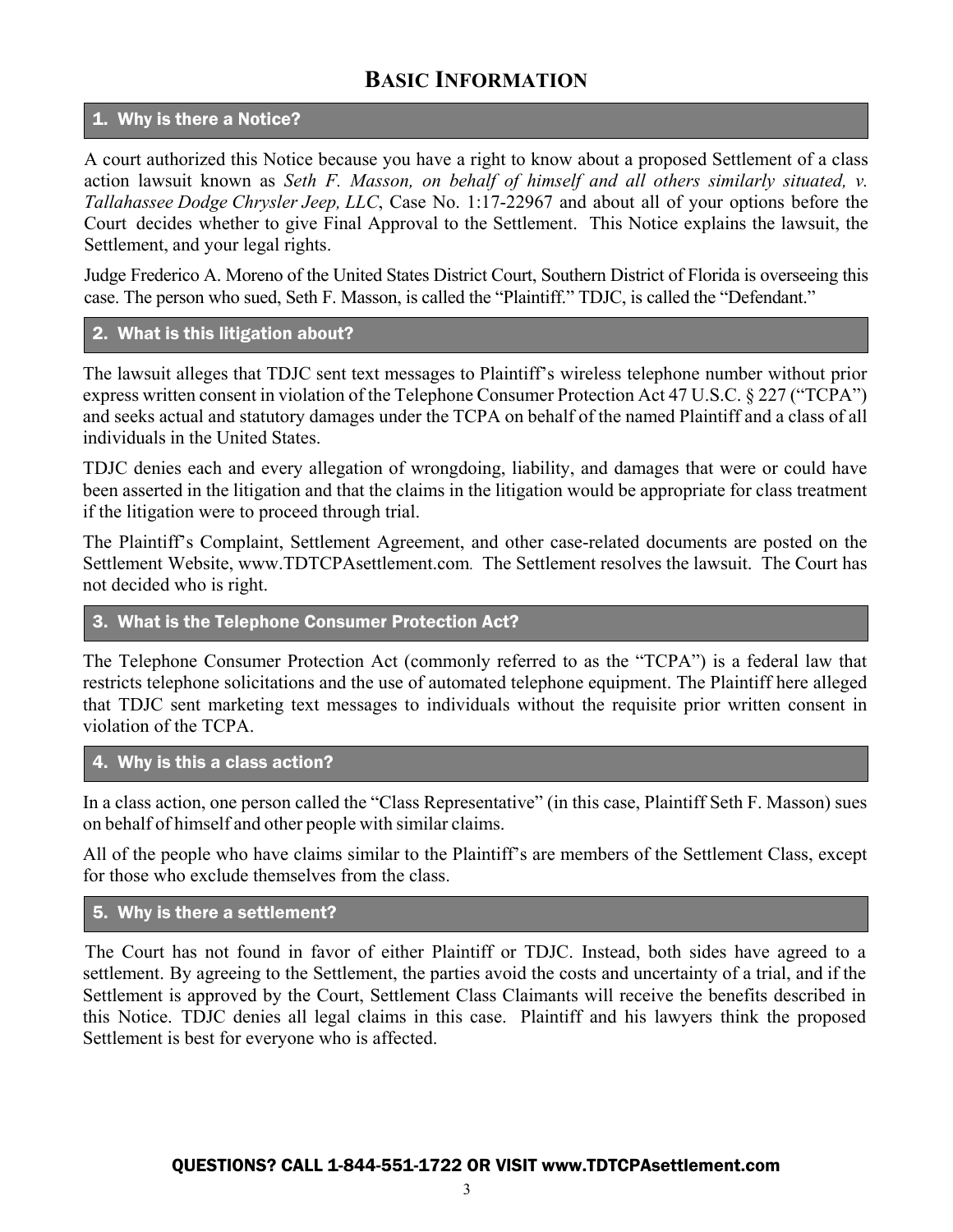# **BASIC INFORMATION**

#### 1. Why is there a Notice?

A court authorized this Notice because you have a right to know about a proposed Settlement of a class action lawsuit known as *Seth F. Masson, on behalf of himself and all others similarly situated, v. Tallahassee Dodge Chrysler Jeep, LLC*, Case No. 1:17-22967 and about all of your options before the Court decides whether to give Final Approval to the Settlement. This Notice explains the lawsuit, the Settlement, and your legal rights.

Judge Frederico A. Moreno of the United States District Court, Southern District of Florida is overseeing this case. The person who sued, Seth F. Masson, is called the "Plaintiff." TDJC, is called the "Defendant."

#### 2. What is this litigation about?

The lawsuit alleges that TDJC sent text messages to Plaintiff's wireless telephone number without prior express written consent in violation of the Telephone Consumer Protection Act 47 U.S.C. § 227 ("TCPA") and seeks actual and statutory damages under the TCPA on behalf of the named Plaintiff and a class of all individuals in the United States.

TDJC denies each and every allegation of wrongdoing, liability, and damages that were or could have been asserted in the litigation and that the claims in the litigation would be appropriate for class treatment if the litigation were to proceed through trial.

The Plaintiff's Complaint, Settlement Agreement, and other case-related documents are posted on the Settlement Website, www.TDTCPAsettlement.com. The Settlement resolves the lawsuit. The Court has not decided who is right.

#### 3. What is the Telephone Consumer Protection Act?

The Telephone Consumer Protection Act (commonly referred to as the "TCPA") is a federal law that restricts telephone solicitations and the use of automated telephone equipment. The Plaintiff here alleged that TDJC sent marketing text messages to individuals without the requisite prior written consent in violation of the TCPA.

#### 4. Why is this a class action?

In a class action, one person called the "Class Representative" (in this case, Plaintiff Seth F. Masson) sues on behalf of himself and other people with similar claims.

All of the people who have claims similar to the Plaintiff's are members of the Settlement Class, except for those who exclude themselves from the class.

#### 5. Why is there a settlement?

The Court has not found in favor of either Plaintiff or TDJC. Instead, both sides have agreed to a settlement. By agreeing to the Settlement, the parties avoid the costs and uncertainty of a trial, and if the Settlement is approved by the Court, Settlement Class Claimants will receive the benefits described in this Notice. TDJC denies all legal claims in this case. Plaintiff and his lawyers think the proposed Settlement is best for everyone who is affected.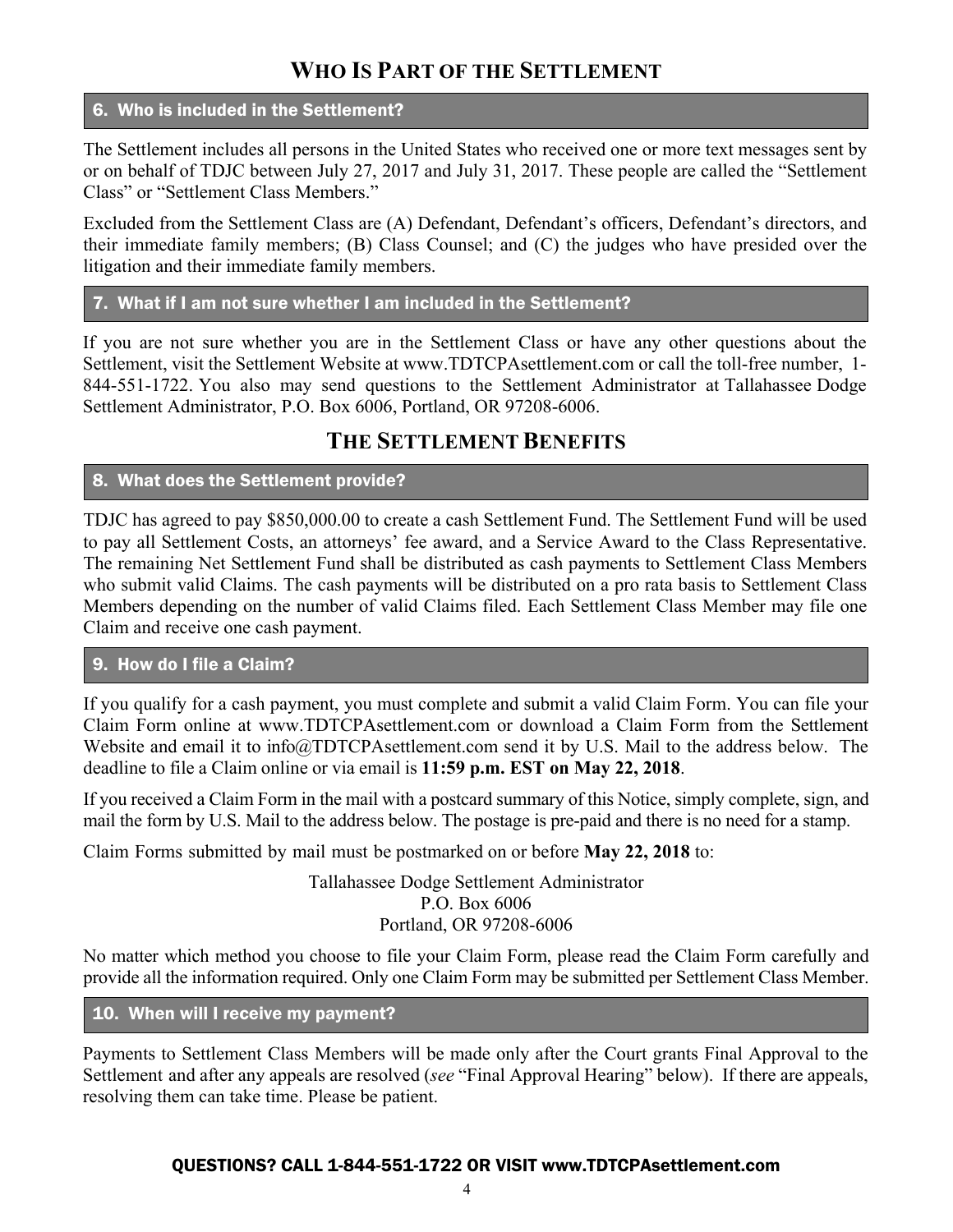# **WHO IS PART OF THE SETTLEMENT**

#### 6. Who is included in the Settlement?

The Settlement includes all persons in the United States who received one or more text messages sent by or on behalf of TDJC between July 27, 2017 and July 31, 2017. These people are called the "Settlement Class" or "Settlement Class Members."

Excluded from the Settlement Class are (A) Defendant, Defendant's officers, Defendant's directors, and their immediate family members; (B) Class Counsel; and (C) the judges who have presided over the litigation and their immediate family members.

### 7. What if I am not sure whether I am included in the Settlement?

If you are not sure whether you are in the Settlement Class or have any other questions about the Settlement, visit the Settlement Website at www.TDTCPAsettlement.com or call the toll-free number, 1- 844-551-1722. You also may send questions to the Settlement Administrator at Tallahassee Dodge Settlement Administrator, P.O. Box 6006, Portland, OR 97208-6006.

### **THE SETTLEMENT BENEFITS**

#### 8. What does the Settlement provide?

TDJC has agreed to pay \$850,000.00 to create a cash Settlement Fund. The Settlement Fund will be used to pay all Settlement Costs, an attorneys' fee award, and a Service Award to the Class Representative. The remaining Net Settlement Fund shall be distributed as cash payments to Settlement Class Members who submit valid Claims. The cash payments will be distributed on a pro rata basis to Settlement Class Members depending on the number of valid Claims filed. Each Settlement Class Member may file one Claim and receive one cash payment.

#### 9. How do I file a Claim?

If you qualify for a cash payment, you must complete and submit a valid Claim Form. You can file your Claim Form online at www.TDTCPAsettlement.com or download a Claim Form from the Settlement Website and email it to info@TDTCPAsettlement.com send it by U.S. Mail to the address below. The deadline to file a Claim online or via email is **11:59 p.m. EST on May 22, 2018**.

If you received a Claim Form in the mail with a postcard summary of this Notice, simply complete, sign, and mail the form by U.S. Mail to the address below. The postage is pre-paid and there is no need for a stamp.

Claim Forms submitted by mail must be postmarked on or before **May 22, 2018** to:

Tallahassee Dodge Settlement Administrator P.O. Box 6006 Portland, OR 97208-6006

No matter which method you choose to file your Claim Form, please read the Claim Form carefully and provide all the information required. Only one Claim Form may be submitted per Settlement Class Member.

#### 10. When will I receive my payment?

Payments to Settlement Class Members will be made only after the Court grants Final Approval to the Settlement and after any appeals are resolved (*see* "Final Approval Hearing" below). If there are appeals, resolving them can take time. Please be patient.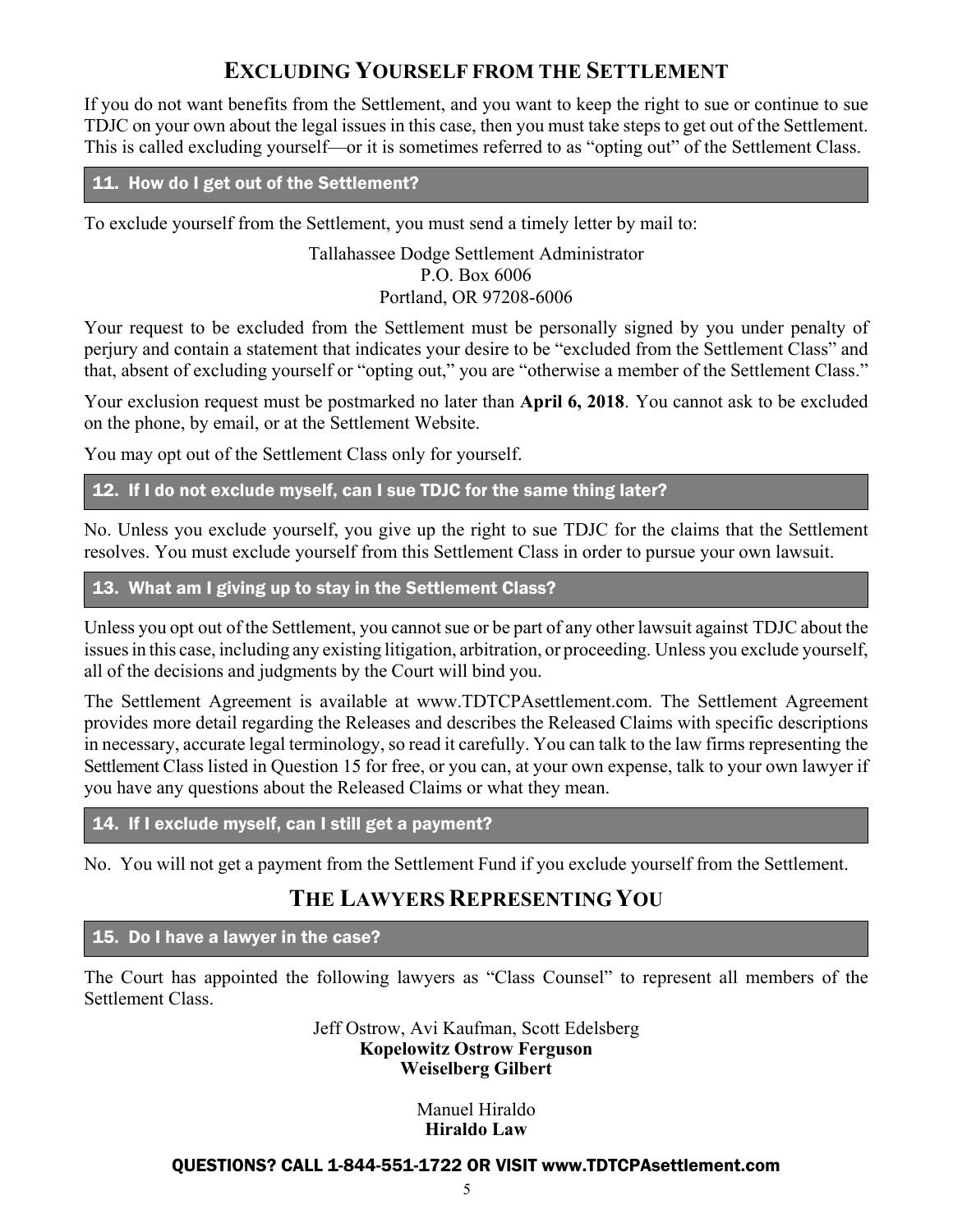# **EXCLUDING YOURSELF FROM THE SETTLEMENT**

If you do not want benefits from the Settlement, and you want to keep the right to sue or continue to sue TDJC on your own about the legal issues in this case, then you must take steps to get out of the Settlement. This is called excluding yourself—or it is sometimes referred to as "opting out" of the Settlement Class.

#### 11. How do I get out of the Settlement?

To exclude yourself from the Settlement, you must send a timely letter by mail to:

#### Tallahassee Dodge Settlement Administrator P.O. Box 6006 Portland, OR 97208-6006

Your request to be excluded from the Settlement must be personally signed by you under penalty of perjury and contain a statement that indicates your desire to be "excluded from the Settlement Class" and that, absent of excluding yourself or "opting out," you are "otherwise a member of the Settlement Class."

Your exclusion request must be postmarked no later than **April 6, 2018**. You cannot ask to be excluded on the phone, by email, or at the Settlement Website.

You may opt out of the Settlement Class only for yourself.

#### 12. If I do not exclude myself, can I sue TDJC for the same thing later?

No. Unless you exclude yourself, you give up the right to sue TDJC for the claims that the Settlement resolves. You must exclude yourself from this Settlement Class in order to pursue your own lawsuit.

#### 13. What am I giving up to stay in the Settlement Class?

Unless you opt out of the Settlement, you cannot sue or be part of any other lawsuit against TDJC about the issues in this case, including any existing litigation, arbitration, or proceeding. Unless you exclude yourself, all of the decisions and judgments by the Court will bind you.

The Settlement Agreement is available at www.TDTCPAsettlement.com. The Settlement Agreement provides more detail regarding the Releases and describes the Released Claims with specific descriptions in necessary, accurate legal terminology, so read it carefully. You can talk to the law firms representing the Settlement Class listed in Question 15 for free, or you can, at your own expense, talk to your own lawyer if you have any questions about the Released Claims or what they mean.

#### 14. If I exclude myself, can I still get a payment?

No. You will not get a payment from the Settlement Fund if you exclude yourself from the Settlement.

### **THE LAWYERS REPRESENTING YOU**

#### 15. Do I have a lawyer in the case?

The Court has appointed the following lawyers as "Class Counsel" to represent all members of the Settlement Class.

> Jeff Ostrow, Avi Kaufman, Scott Edelsberg **Kopelowitz Ostrow Ferguson Weiselberg Gilbert**

> > Manuel Hiraldo **Hiraldo Law**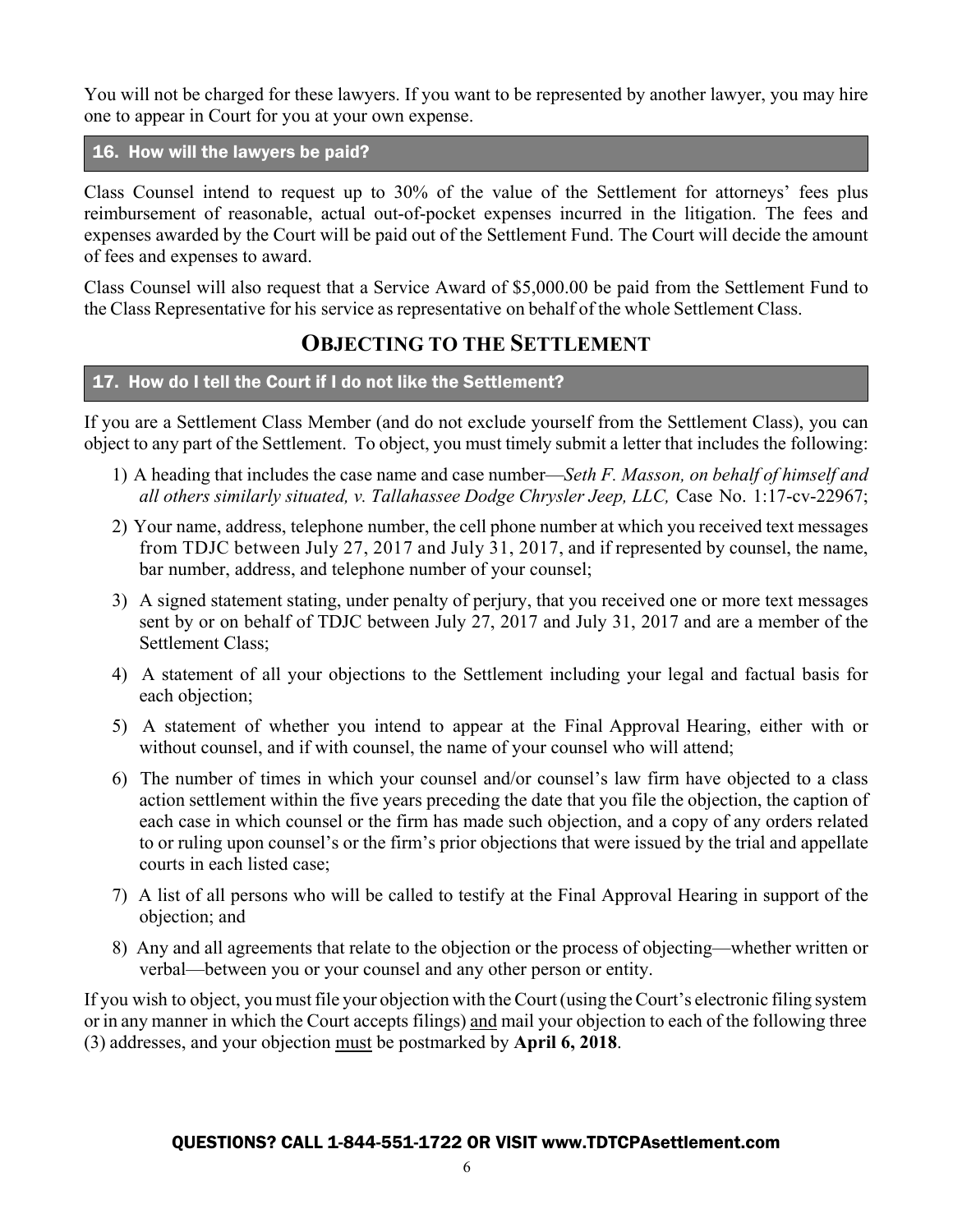You will not be charged for these lawyers. If you want to be represented by another lawyer, you may hire one to appear in Court for you at your own expense.

#### 16. How will the lawyers be paid?

Class Counsel intend to request up to 30% of the value of the Settlement for attorneys' fees plus reimbursement of reasonable, actual out-of-pocket expenses incurred in the litigation. The fees and expenses awarded by the Court will be paid out of the Settlement Fund. The Court will decide the amount of fees and expenses to award.

Class Counsel will also request that a Service Award of \$5,000.00 be paid from the Settlement Fund to the Class Representative for his service as representative on behalf of the whole Settlement Class.

### **OBJECTING TO THE SETTLEMENT**

#### 17. How do I tell the Court if I do not like the Settlement?

If you are a Settlement Class Member (and do not exclude yourself from the Settlement Class), you can object to any part of the Settlement. To object, you must timely submit a letter that includes the following:

- 1) A heading that includes the case name and case number—*Seth F. Masson, on behalf of himself and all others similarly situated, v. Tallahassee Dodge Chrysler Jeep, LLC,* Case No. 1:17-cv-22967;
- 2) Your name, address, telephone number, the cell phone number at which you received text messages from TDJC between July 27, 2017 and July 31, 2017, and if represented by counsel, the name, bar number, address, and telephone number of your counsel;
- 3) A signed statement stating, under penalty of perjury, that you received one or more text messages sent by or on behalf of TDJC between July 27, 2017 and July 31, 2017 and are a member of the Settlement Class;
- 4) A statement of all your objections to the Settlement including your legal and factual basis for each objection;
- 5) A statement of whether you intend to appear at the Final Approval Hearing, either with or without counsel, and if with counsel, the name of your counsel who will attend;
- 6) The number of times in which your counsel and/or counsel's law firm have objected to a class action settlement within the five years preceding the date that you file the objection, the caption of each case in which counsel or the firm has made such objection, and a copy of any orders related to or ruling upon counsel's or the firm's prior objections that were issued by the trial and appellate courts in each listed case;
- 7) A list of all persons who will be called to testify at the Final Approval Hearing in support of the objection; and
- 8) Any and all agreements that relate to the objection or the process of objecting—whether written or verbal—between you or your counsel and any other person or entity.

If you wish to object, you must file your objection with the Court (using the Court's electronic filing system or in any manner in which the Court accepts filings) and mail your objection to each of the following three (3) addresses, and your objection must be postmarked by **April 6, 2018**.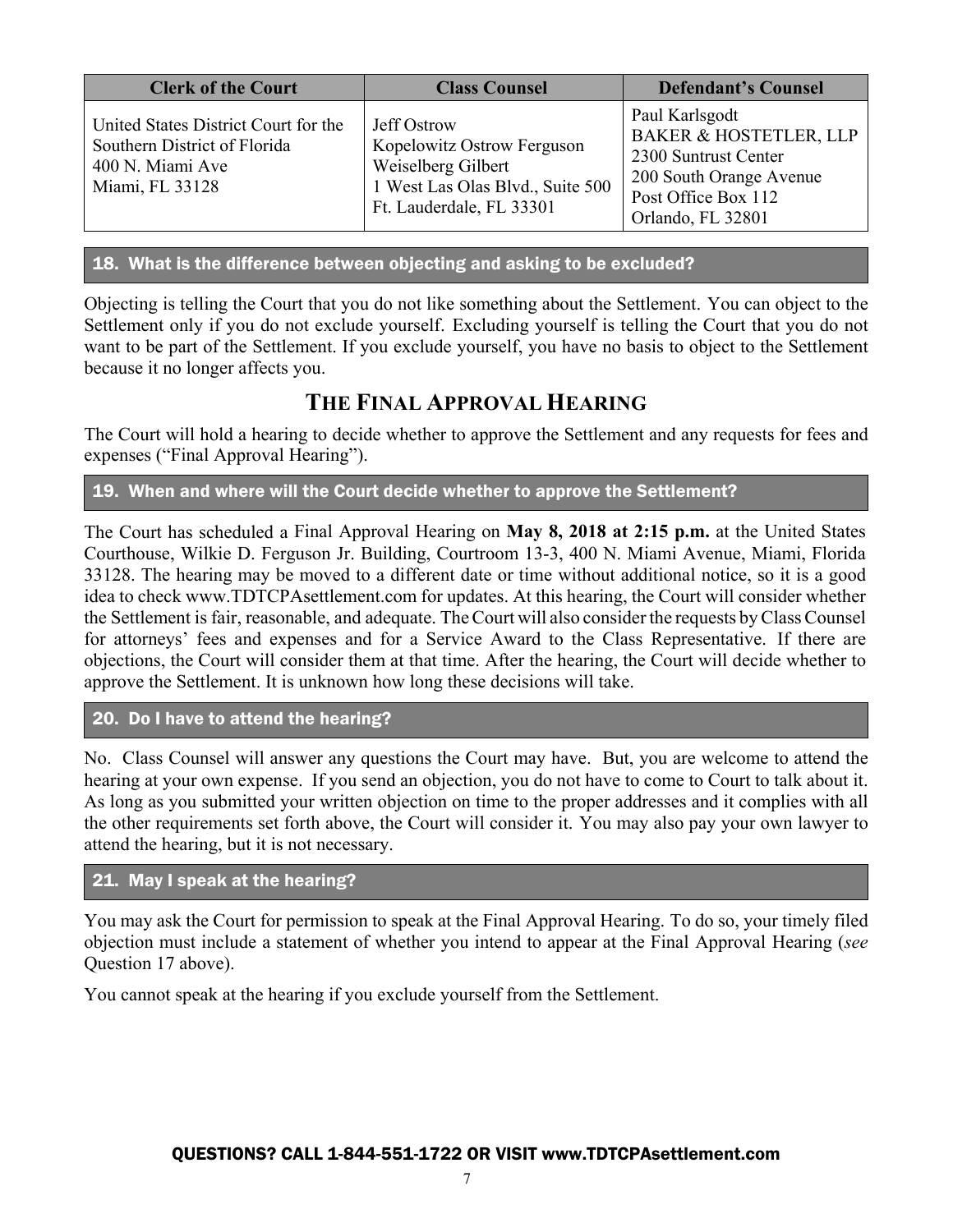| <b>Clerk of the Court</b>                                                                                   | <b>Class Counsel</b>                                                                                                                   | <b>Defendant's Counsel</b>                                                                                                                         |
|-------------------------------------------------------------------------------------------------------------|----------------------------------------------------------------------------------------------------------------------------------------|----------------------------------------------------------------------------------------------------------------------------------------------------|
| United States District Court for the<br>Southern District of Florida<br>400 N. Miami Ave<br>Miami, FL 33128 | <b>Jeff Ostrow</b><br>Kopelowitz Ostrow Ferguson<br>Weiselberg Gilbert<br>1 West Las Olas Blvd., Suite 500<br>Ft. Lauderdale, FL 33301 | Paul Karlsgodt<br><b>BAKER &amp; HOSTETLER, LLP</b><br>2300 Suntrust Center<br>200 South Orange Avenue<br>Post Office Box 112<br>Orlando, FL 32801 |

#### 18. What is the difference between objecting and asking to be excluded?

Objecting is telling the Court that you do not like something about the Settlement. You can object to the Settlement only if you do not exclude yourself. Excluding yourself is telling the Court that you do not want to be part of the Settlement. If you exclude yourself, you have no basis to object to the Settlement because it no longer affects you.

## **THE FINAL APPROVAL HEARING**

The Court will hold a hearing to decide whether to approve the Settlement and any requests for fees and expenses ("Final Approval Hearing").

#### 19. When and where will the Court decide whether to approve the Settlement?

The Court has scheduled a Final Approval Hearing on **May 8, 2018 at 2:15 p.m.** at the United States Courthouse, Wilkie D. Ferguson Jr. Building, Courtroom 13-3, 400 N. Miami Avenue, Miami, Florida 33128. The hearing may be moved to a different date or time without additional notice, so it is a good idea to check www.TDTCPAsettlement.com for updates. At this hearing, the Court will consider whether the Settlement is fair, reasonable, and adequate. The Court will also consider the requests by Class Counsel for attorneys' fees and expenses and for a Service Award to the Class Representative. If there are objections, the Court will consider them at that time. After the hearing, the Court will decide whether to approve the Settlement. It is unknown how long these decisions will take.

#### 20. Do I have to attend the hearing?

No. Class Counsel will answer any questions the Court may have. But, you are welcome to attend the hearing at your own expense. If you send an objection, you do not have to come to Court to talk about it. As long as you submitted your written objection on time to the proper addresses and it complies with all the other requirements set forth above, the Court will consider it. You may also pay your own lawyer to attend the hearing, but it is not necessary.

#### 21. May I speak at the hearing?

You may ask the Court for permission to speak at the Final Approval Hearing. To do so, your timely filed objection must include a statement of whether you intend to appear at the Final Approval Hearing (*see*  Question 17 above).

You cannot speak at the hearing if you exclude yourself from the Settlement.